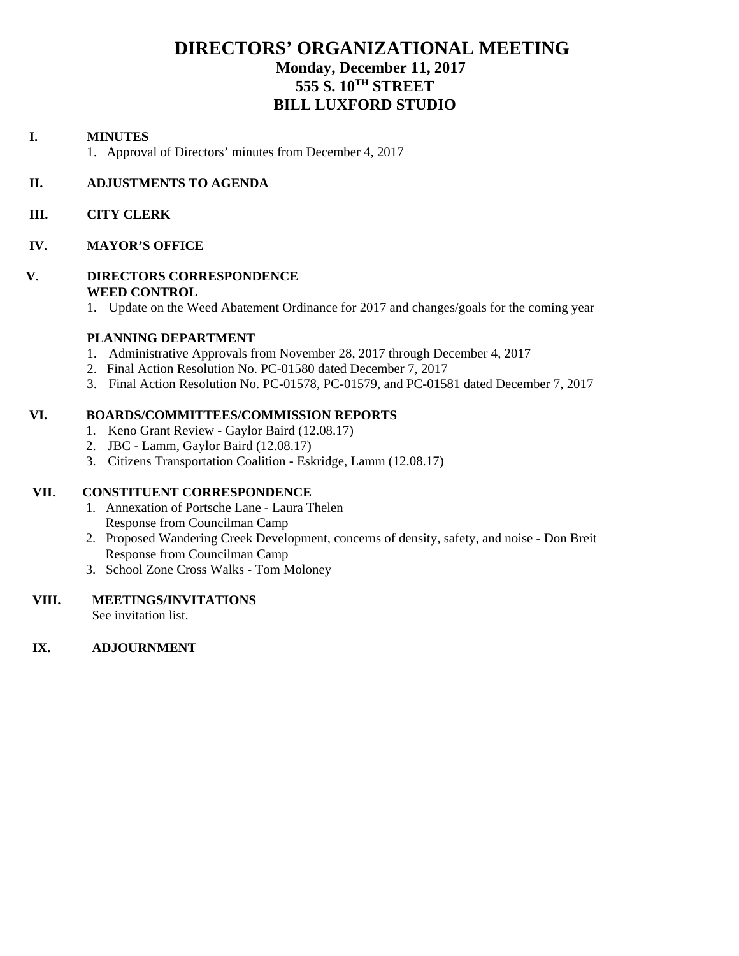# **DIRECTORS' ORGANIZATIONAL MEETING Monday, December 11, 2017 555 S. 10TH STREET BILL LUXFORD STUDIO**

#### **I. MINUTES**

1. Approval of Directors' minutes from December 4, 2017

#### **II. ADJUSTMENTS TO AGENDA**

#### **III. CITY CLERK**

#### **IV. MAYOR'S OFFICE**

#### **V. DIRECTORS CORRESPONDENCE WEED CONTROL**

1. Update on the Weed Abatement Ordinance for 2017 and changes/goals for the coming year

#### **PLANNING DEPARTMENT**

- 1. Administrative Approvals from November 28, 2017 through December 4, 2017
- 2. Final Action Resolution No. PC-01580 dated December 7, 2017
- 3. Final Action Resolution No. PC-01578, PC-01579, and PC-01581 dated December 7, 2017

#### **VI. BOARDS/COMMITTEES/COMMISSION REPORTS**

- 1. Keno Grant Review Gaylor Baird (12.08.17)
- 2. JBC Lamm, Gaylor Baird (12.08.17)
- 3. Citizens Transportation Coalition Eskridge, Lamm (12.08.17)

#### **VII. CONSTITUENT CORRESPONDENCE**

- 1. Annexation of Portsche Lane Laura Thelen Response from Councilman Camp
- 2. Proposed Wandering Creek Development, concerns of density, safety, and noise Don Breit Response from Councilman Camp
- 3. School Zone Cross Walks Tom Moloney

#### **VIII. MEETINGS/INVITATIONS**

See invitation list.

#### **IX. ADJOURNMENT**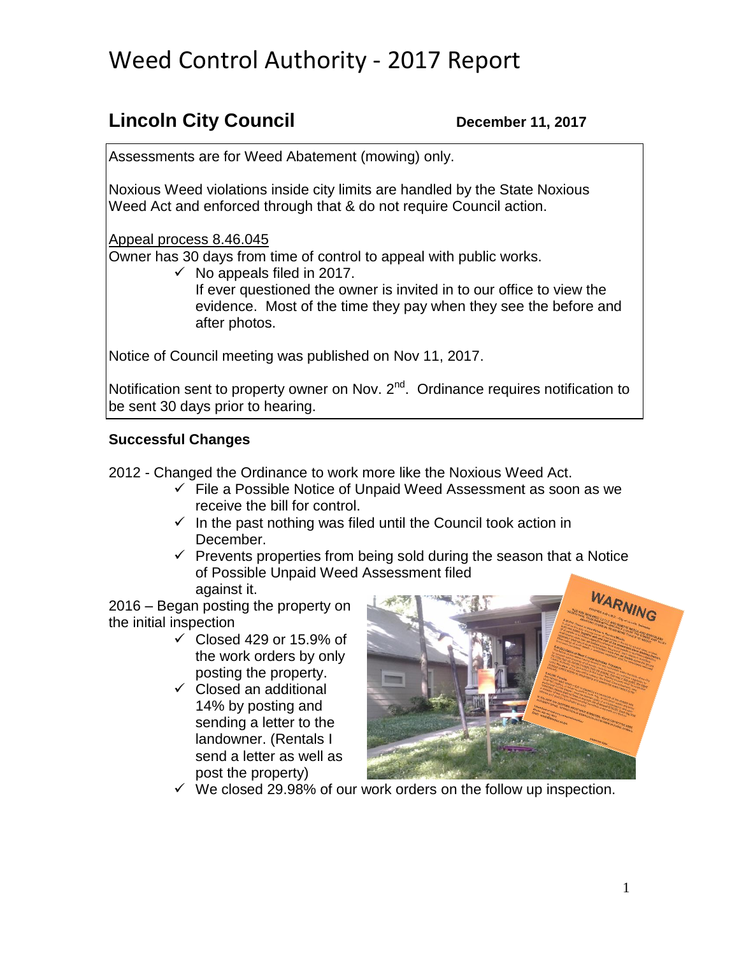# Weed Control Authority - 2017 Report

# **Lincoln City Council December 11, 2017**

Assessments are for Weed Abatement (mowing) only.

Noxious Weed violations inside city limits are handled by the State Noxious Weed Act and enforced through that & do not require Council action.

Appeal process 8.46.045

Owner has 30 days from time of control to appeal with public works.

 $\checkmark$  No appeals filed in 2017.

If ever questioned the owner is invited in to our office to view the evidence. Most of the time they pay when they see the before and after photos.

Notice of Council meeting was published on Nov 11, 2017.

Notification sent to property owner on Nov. 2<sup>nd</sup>. Ordinance requires notification to be sent 30 days prior to hearing.

# **Successful Changes**

2012 - Changed the Ordinance to work more like the Noxious Weed Act.

- $\checkmark$  File a Possible Notice of Unpaid Weed Assessment as soon as we receive the bill for control.
- $\checkmark$  In the past nothing was filed until the Council took action in December.
- $\checkmark$  Prevents properties from being sold during the season that a Notice of Possible Unpaid Weed Assessment filed against it.

2016 – Began posting the property on the initial inspection

- $\checkmark$  Closed 429 or 15.9% of the work orders by only posting the property.
- $\checkmark$  Closed an additional 14% by posting and sending a letter to the landowner. (Rentals I send a letter as well as post the property)



 $\checkmark$  We closed 29.98% of our work orders on the follow up inspection.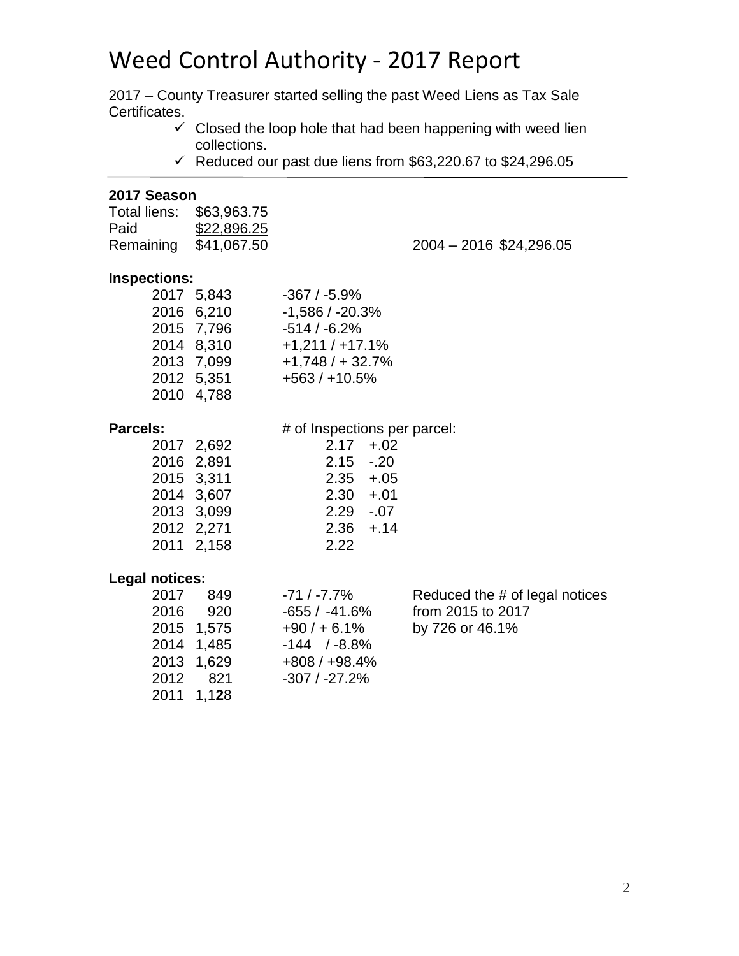# Weed Control Authority - 2017 Report

2017 – County Treasurer started selling the past Weed Liens as Tax Sale Certificates.

- $\checkmark$  Closed the loop hole that had been happening with weed lien collections.
- $\checkmark$  Reduced our past due liens from \$63,220.67 to \$24,296.05

#### **2017 Season**

| Total liens: | \$63,963.75 |
|--------------|-------------|
| Paid         | \$22,896.25 |
| Remaining    | \$41,067.50 |

g \$41,067.50 2004 – 2016 \$24,296.05

#### **Inspections:**

| 2017 5,843 | $-367/ -5.9%$     |
|------------|-------------------|
| 2016 6,210 | $-1,586/ -20.3%$  |
| 2015 7,796 | $-514/ -6.2%$     |
| 2014 8,310 | $+1,211/ +17.1%$  |
| 2013 7,099 | $+1,748/ + 32.7%$ |
| 2012 5,351 | $+563/+10.5%$     |
| 2010 4,788 |                   |
|            |                   |

### **Parcels:**  $\qquad \qquad \# \text{ of Insjections per parcel:}$

| 2017 2,692 | $2.17 + 0.02$ |  |
|------------|---------------|--|
| 2016 2,891 | $2.15 - 20$   |  |
| 2015 3,311 | $2.35 + .05$  |  |
| 2014 3,607 | $2.30 + .01$  |  |
| 2013 3,099 | $2.29 - 0.07$ |  |
| 2012 2,271 | $2.36 + 14$   |  |
| 2011 2,158 | 2.22          |  |
|            |               |  |

#### **Legal notices:**

| 2017 849   | $-71/ -7.7\%$     | Reduced the # of legal notices |
|------------|-------------------|--------------------------------|
| 2016 920   | $-655/ -41.6%$    | from 2015 to 2017              |
| 2015 1,575 | $+90/ + 6.1%$     | by 726 or 46.1%                |
| 2014 1,485 | $-144$ / $-8.8\%$ |                                |
| 2013 1.629 | $+808/+98.4%$     |                                |
| 2012 821   | $-307/ -27.2%$    |                                |
| 2011 1,128 |                   |                                |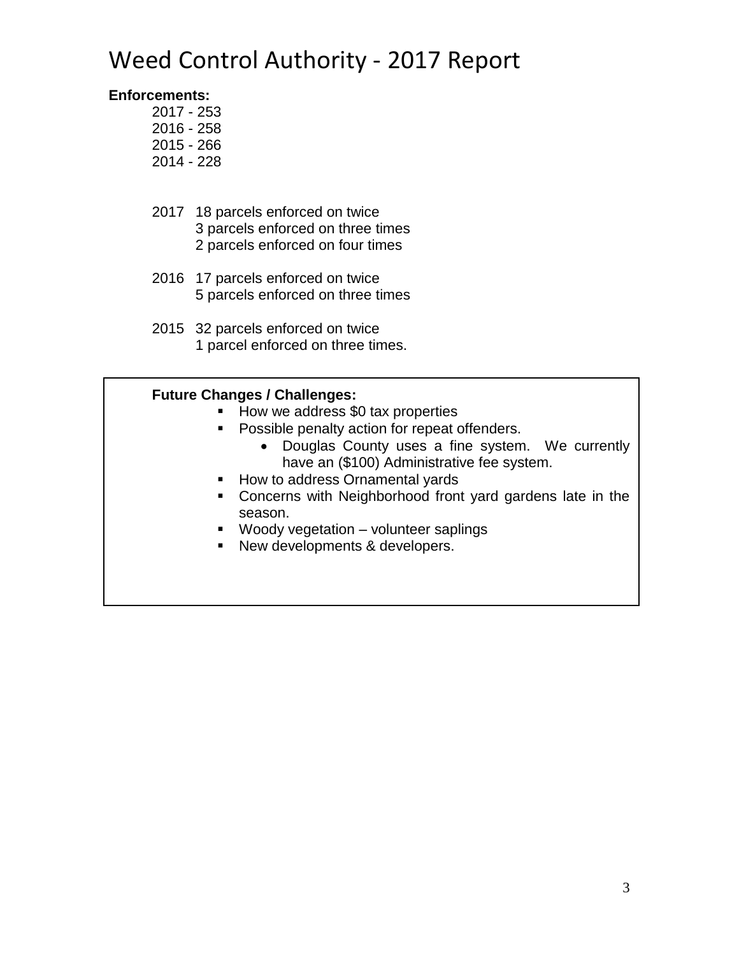# Weed Control Authority - 2017 Report

# **Enforcements:**

- 2017 253 2016 - 258
- 2015 266
- 2014 228
- 2017 18 parcels enforced on twice 3 parcels enforced on three times 2 parcels enforced on four times
- 2016 17 parcels enforced on twice 5 parcels enforced on three times
- 2015 32 parcels enforced on twice 1 parcel enforced on three times.

# **Future Changes / Challenges:**

- How we address \$0 tax properties
- **Possible penalty action for repeat offenders.** 
	- Douglas County uses a fine system. We currently have an (\$100) Administrative fee system.
- How to address Ornamental yards
- Concerns with Neighborhood front yard gardens late in the season.
- **Woody vegetation** volunteer saplings
- New developments & developers.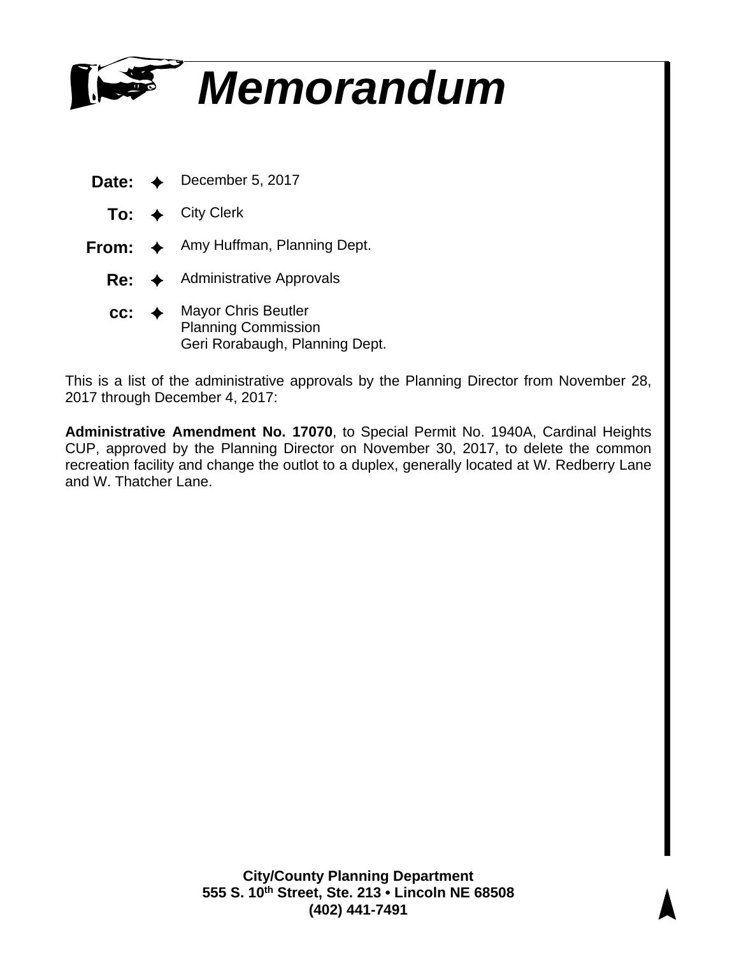

- **Date:** ✦ December 5, 2017
	- **To:** ✦ City Clerk
- **From:** ✦ Amy Huffman, Planning Dept.
	- **Re:** ✦ Administrative Approvals
	- **cc:** ✦ Mayor Chris Beutler Planning Commission Geri Rorabaugh, Planning Dept.

This is a list of the administrative approvals by the Planning Director from November 28, 2017 through December 4, 2017:

**Administrative Amendment No. 17070**, to Special Permit No. 1940A, Cardinal Heights CUP, approved by the Planning Director on November 30, 2017, to delete the common recreation facility and change the outlot to a duplex, generally located at W. Redberry Lane and W. Thatcher Lane.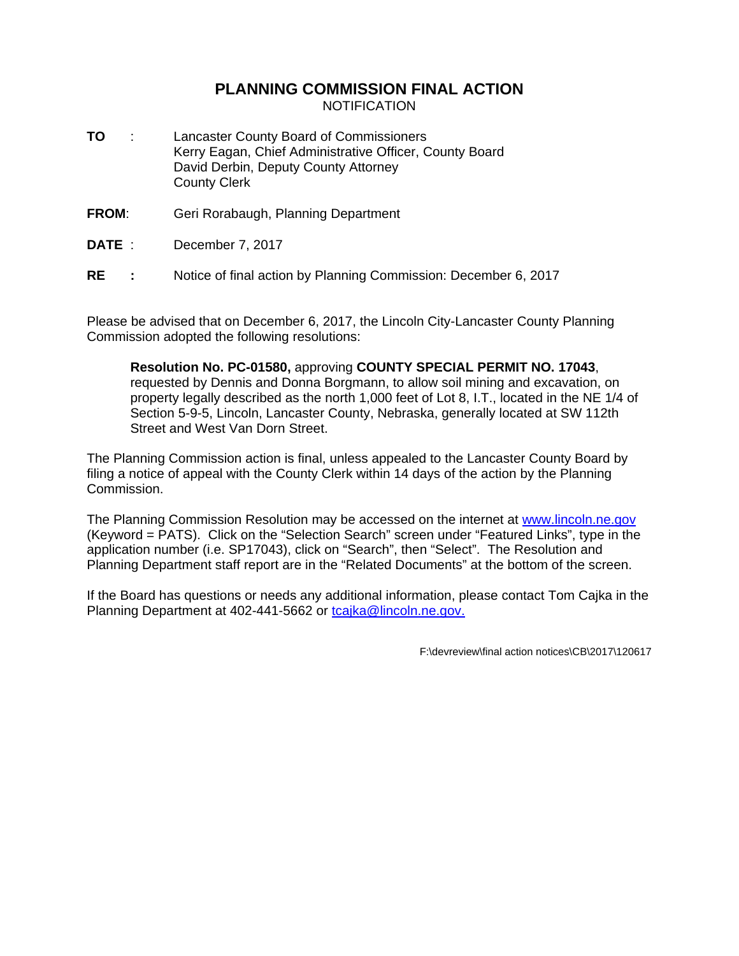#### **PLANNING COMMISSION FINAL ACTION** NOTIFICATION

- **TO** : Lancaster County Board of Commissioners Kerry Eagan, Chief Administrative Officer, County Board David Derbin, Deputy County Attorney County Clerk
- **FROM**: Geri Rorabaugh, Planning Department
- **DATE** : December 7, 2017
- **RE :** Notice of final action by Planning Commission: December 6, 2017

Please be advised that on December 6, 2017, the Lincoln City-Lancaster County Planning Commission adopted the following resolutions:

**Resolution No. PC-01580,** approving **COUNTY SPECIAL PERMIT NO. 17043**, requested by Dennis and Donna Borgmann, to allow soil mining and excavation, on property legally described as the north 1,000 feet of Lot 8, I.T., located in the NE 1/4 of Section 5-9-5, Lincoln, Lancaster County, Nebraska, generally located at SW 112th Street and West Van Dorn Street.

The Planning Commission action is final, unless appealed to the Lancaster County Board by filing a notice of appeal with the County Clerk within 14 days of the action by the Planning Commission.

The Planning Commission Resolution may be accessed on the internet at www.lincoln.ne.gov (Keyword = PATS). Click on the "Selection Search" screen under "Featured Links", type in the application number (i.e. SP17043), click on "Search", then "Select". The Resolution and Planning Department staff report are in the "Related Documents" at the bottom of the screen.

If the Board has questions or needs any additional information, please contact Tom Cajka in the Planning Department at 402-441-5662 or tcajka@lincoln.ne.gov.

F:\devreview\final action notices\CB\2017\120617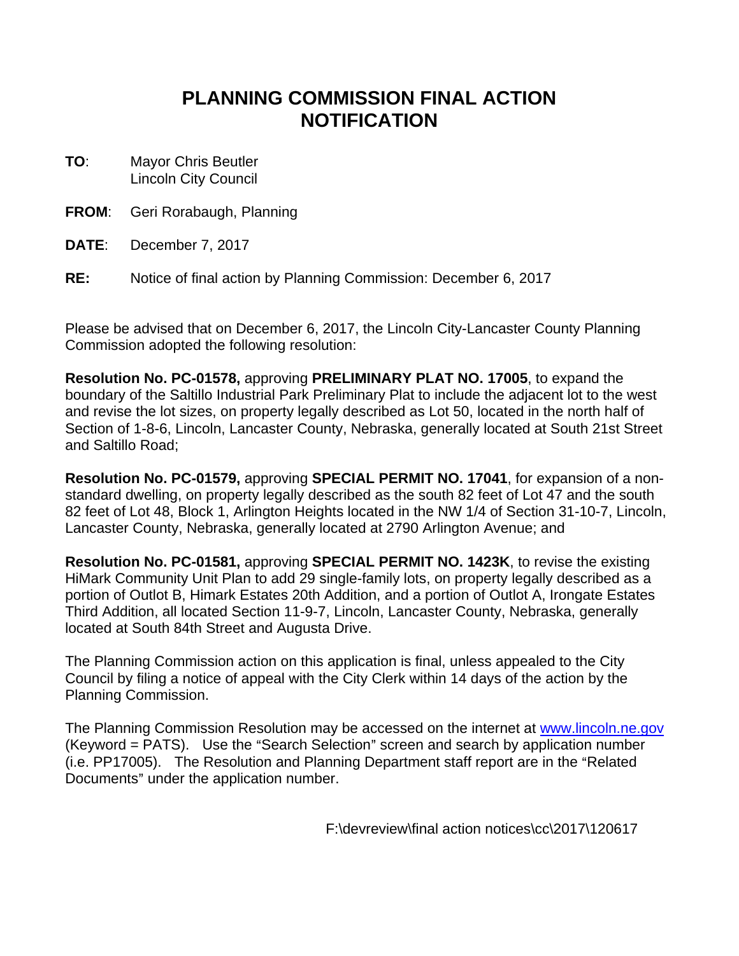# **PLANNING COMMISSION FINAL ACTION NOTIFICATION**

- **TO**: Mayor Chris Beutler Lincoln City Council
- **FROM**: Geri Rorabaugh, Planning
- **DATE**: December 7, 2017
- **RE:** Notice of final action by Planning Commission: December 6, 2017

Please be advised that on December 6, 2017, the Lincoln City-Lancaster County Planning Commission adopted the following resolution:

**Resolution No. PC-01578,** approving **PRELIMINARY PLAT NO. 17005**, to expand the boundary of the Saltillo Industrial Park Preliminary Plat to include the adjacent lot to the west and revise the lot sizes, on property legally described as Lot 50, located in the north half of Section of 1-8-6, Lincoln, Lancaster County, Nebraska, generally located at South 21st Street and Saltillo Road;

**Resolution No. PC-01579,** approving **SPECIAL PERMIT NO. 17041**, for expansion of a nonstandard dwelling, on property legally described as the south 82 feet of Lot 47 and the south 82 feet of Lot 48, Block 1, Arlington Heights located in the NW 1/4 of Section 31-10-7, Lincoln, Lancaster County, Nebraska, generally located at 2790 Arlington Avenue; and

**Resolution No. PC-01581,** approving **SPECIAL PERMIT NO. 1423K**, to revise the existing HiMark Community Unit Plan to add 29 single-family lots, on property legally described as a portion of Outlot B, Himark Estates 20th Addition, and a portion of Outlot A, Irongate Estates Third Addition, all located Section 11-9-7, Lincoln, Lancaster County, Nebraska, generally located at South 84th Street and Augusta Drive.

The Planning Commission action on this application is final, unless appealed to the City Council by filing a notice of appeal with the City Clerk within 14 days of the action by the Planning Commission.

The Planning Commission Resolution may be accessed on the internet at www.lincoln.ne.gov  $($ Keyword = PATS $)$ . Use the "Search Selection" screen and search by application number (i.e. PP17005). The Resolution and Planning Department staff report are in the "Related Documents" under the application number.

F:\devreview\final action notices\cc\2017\120617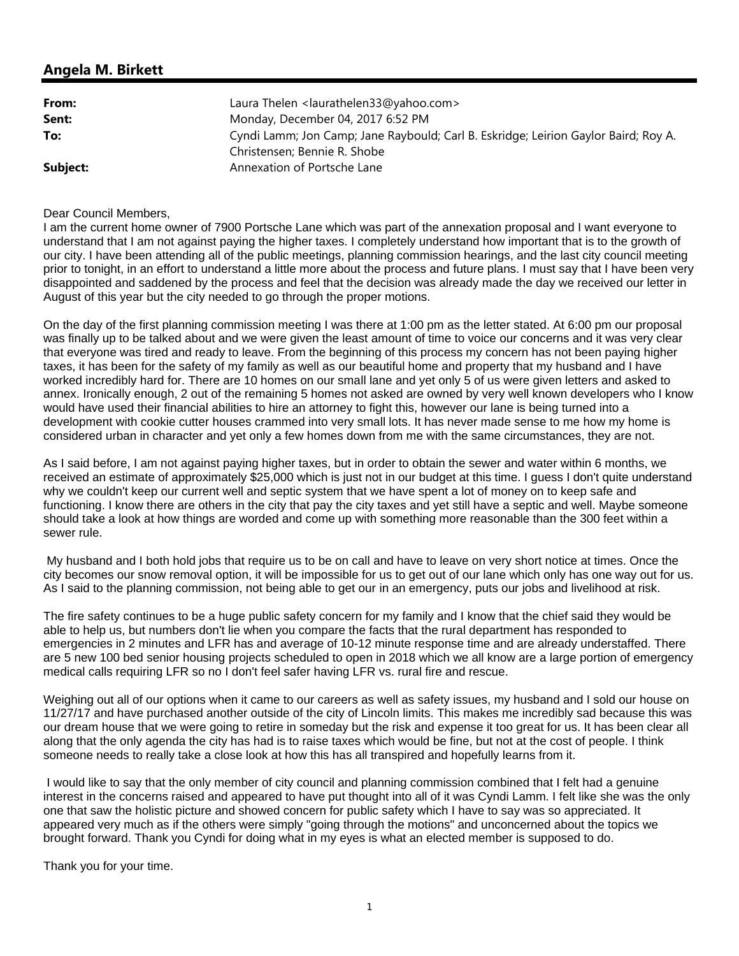| From:    | Laura Thelen <laurathelen33@yahoo.com></laurathelen33@yahoo.com>                    |
|----------|-------------------------------------------------------------------------------------|
| Sent:    | Monday, December 04, 2017 6:52 PM                                                   |
| To:      | Cyndi Lamm; Jon Camp; Jane Raybould; Carl B. Eskridge; Leirion Gaylor Baird; Roy A. |
|          | Christensen; Bennie R. Shobe                                                        |
| Subject: | Annexation of Portsche Lane                                                         |

#### Dear Council Members,

I am the current home owner of 7900 Portsche Lane which was part of the annexation proposal and I want everyone to understand that I am not against paying the higher taxes. I completely understand how important that is to the growth of our city. I have been attending all of the public meetings, planning commission hearings, and the last city council meeting prior to tonight, in an effort to understand a little more about the process and future plans. I must say that I have been very disappointed and saddened by the process and feel that the decision was already made the day we received our letter in August of this year but the city needed to go through the proper motions.

On the day of the first planning commission meeting I was there at 1:00 pm as the letter stated. At 6:00 pm our proposal was finally up to be talked about and we were given the least amount of time to voice our concerns and it was very clear that everyone was tired and ready to leave. From the beginning of this process my concern has not been paying higher taxes, it has been for the safety of my family as well as our beautiful home and property that my husband and I have worked incredibly hard for. There are 10 homes on our small lane and yet only 5 of us were given letters and asked to annex. Ironically enough, 2 out of the remaining 5 homes not asked are owned by very well known developers who I know would have used their financial abilities to hire an attorney to fight this, however our lane is being turned into a development with cookie cutter houses crammed into very small lots. It has never made sense to me how my home is considered urban in character and yet only a few homes down from me with the same circumstances, they are not.

As I said before, I am not against paying higher taxes, but in order to obtain the sewer and water within 6 months, we received an estimate of approximately \$25,000 which is just not in our budget at this time. I guess I don't quite understand why we couldn't keep our current well and septic system that we have spent a lot of money on to keep safe and functioning. I know there are others in the city that pay the city taxes and yet still have a septic and well. Maybe someone should take a look at how things are worded and come up with something more reasonable than the 300 feet within a sewer rule.

 My husband and I both hold jobs that require us to be on call and have to leave on very short notice at times. Once the city becomes our snow removal option, it will be impossible for us to get out of our lane which only has one way out for us. As I said to the planning commission, not being able to get our in an emergency, puts our jobs and livelihood at risk.

The fire safety continues to be a huge public safety concern for my family and I know that the chief said they would be able to help us, but numbers don't lie when you compare the facts that the rural department has responded to emergencies in 2 minutes and LFR has and average of 10-12 minute response time and are already understaffed. There are 5 new 100 bed senior housing projects scheduled to open in 2018 which we all know are a large portion of emergency medical calls requiring LFR so no I don't feel safer having LFR vs. rural fire and rescue.

Weighing out all of our options when it came to our careers as well as safety issues, my husband and I sold our house on 11/27/17 and have purchased another outside of the city of Lincoln limits. This makes me incredibly sad because this was our dream house that we were going to retire in someday but the risk and expense it too great for us. It has been clear all along that the only agenda the city has had is to raise taxes which would be fine, but not at the cost of people. I think someone needs to really take a close look at how this has all transpired and hopefully learns from it.

 I would like to say that the only member of city council and planning commission combined that I felt had a genuine interest in the concerns raised and appeared to have put thought into all of it was Cyndi Lamm. I felt like she was the only one that saw the holistic picture and showed concern for public safety which I have to say was so appreciated. It appeared very much as if the others were simply "going through the motions" and unconcerned about the topics we brought forward. Thank you Cyndi for doing what in my eyes is what an elected member is supposed to do.

Thank you for your time.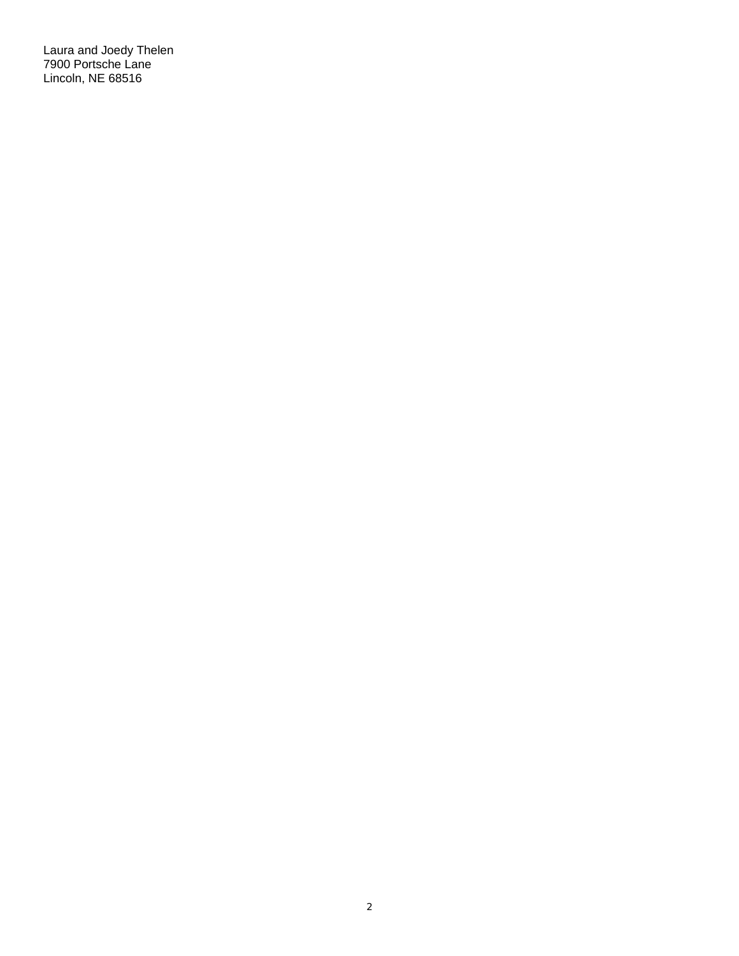Laura and Joedy Thelen 7900 Portsche Lane Lincoln, NE 68516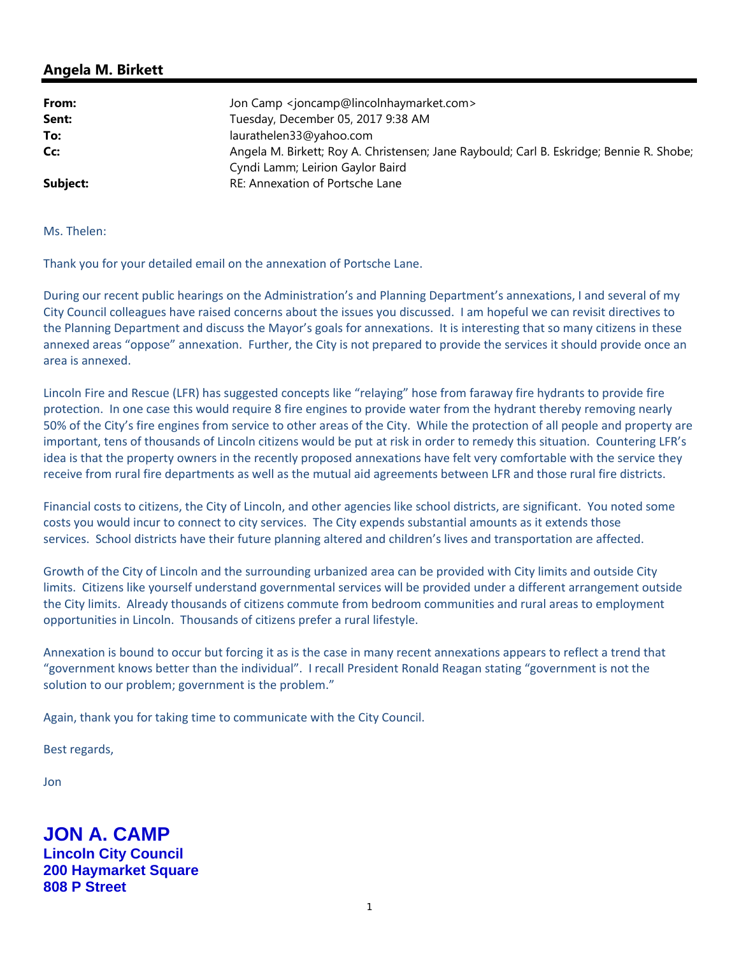| From:    | Jon Camp <joncamp@lincolnhaymarket.com></joncamp@lincolnhaymarket.com>                   |
|----------|------------------------------------------------------------------------------------------|
| Sent:    | Tuesday, December 05, 2017 9:38 AM                                                       |
| To:      | laurathelen33@yahoo.com                                                                  |
| Cc:      | Angela M. Birkett; Roy A. Christensen; Jane Raybould; Carl B. Eskridge; Bennie R. Shobe; |
|          | Cyndi Lamm; Leirion Gaylor Baird                                                         |
| Subject: | RE: Annexation of Portsche Lane                                                          |

Ms. Thelen:

Thank you for your detailed email on the annexation of Portsche Lane.

During our recent public hearings on the Administration's and Planning Department's annexations, I and several of my City Council colleagues have raised concerns about the issues you discussed. I am hopeful we can revisit directives to the Planning Department and discuss the Mayor's goals for annexations. It is interesting that so many citizens in these annexed areas "oppose" annexation. Further, the City is not prepared to provide the services it should provide once an area is annexed.

Lincoln Fire and Rescue (LFR) has suggested concepts like "relaying" hose from faraway fire hydrants to provide fire protection. In one case this would require 8 fire engines to provide water from the hydrant thereby removing nearly 50% of the City's fire engines from service to other areas of the City. While the protection of all people and property are important, tens of thousands of Lincoln citizens would be put at risk in order to remedy this situation. Countering LFR's idea is that the property owners in the recently proposed annexations have felt very comfortable with the service they receive from rural fire departments as well as the mutual aid agreements between LFR and those rural fire districts.

Financial costs to citizens, the City of Lincoln, and other agencies like school districts, are significant. You noted some costs you would incur to connect to city services. The City expends substantial amounts as it extends those services. School districts have their future planning altered and children's lives and transportation are affected.

Growth of the City of Lincoln and the surrounding urbanized area can be provided with City limits and outside City limits. Citizens like yourself understand governmental services will be provided under a different arrangement outside the City limits. Already thousands of citizens commute from bedroom communities and rural areas to employment opportunities in Lincoln. Thousands of citizens prefer a rural lifestyle.

Annexation is bound to occur but forcing it as is the case in many recent annexations appears to reflect a trend that "government knows better than the individual". I recall President Ronald Reagan stating "government is not the solution to our problem; government is the problem."

Again, thank you for taking time to communicate with the City Council.

Best regards,

Jon

**JON A. CAMP Lincoln City Council 200 Haymarket Square 808 P Street**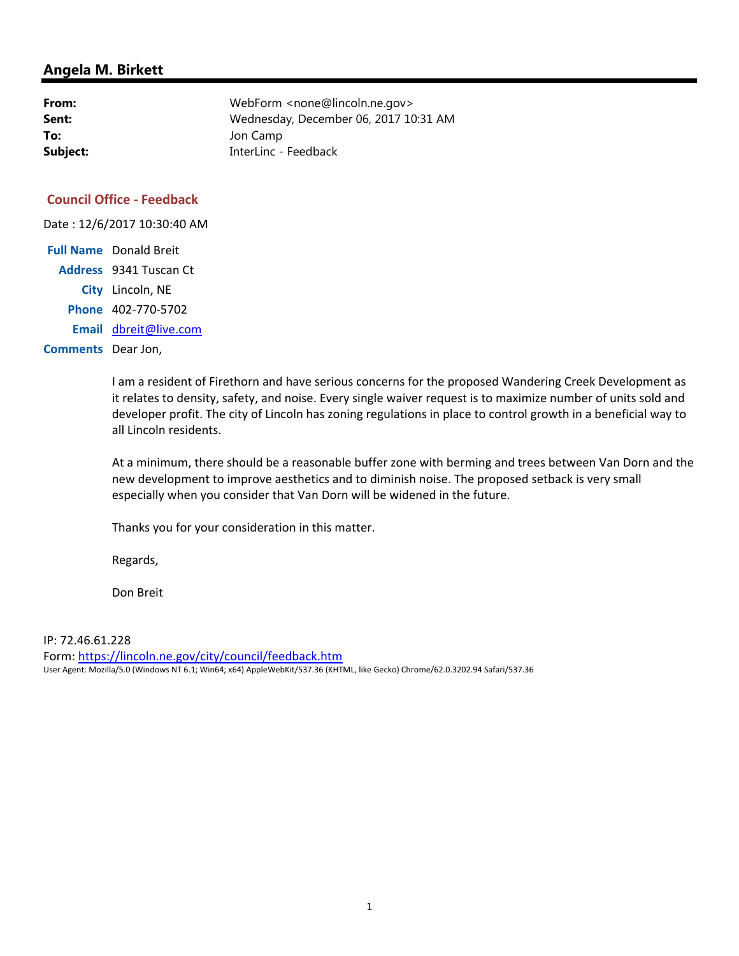| From:    | WebForm <none@lincoln.ne.gov></none@lincoln.ne.gov> |
|----------|-----------------------------------------------------|
| Sent:    | Wednesday, December 06, 2017 10:31 AM               |
| To:      | Jon Camp                                            |
| Subject: | InterLinc - Feedback                                |

#### **Council Office - Feedback**

Date : 12/6/2017 10:30:40 AM **Full Name** Donald Breit **Address** 9341 Tuscan Ct

**City** Lincoln, NE

**Phone** 402-770-5702

**Email** dbreit@live.com

**Comments** Dear Jon,

I am a resident of Firethorn and have serious concerns for the proposed Wandering Creek Development as it relates to density, safety, and noise. Every single waiver request is to maximize number of units sold and developer profit. The city of Lincoln has zoning regulations in place to control growth in a beneficial way to all Lincoln residents.

At a minimum, there should be a reasonable buffer zone with berming and trees between Van Dorn and the new development to improve aesthetics and to diminish noise. The proposed setback is very small especially when you consider that Van Dorn will be widened in the future.

Thanks you for your consideration in this matter.

Regards,

Don Breit

IP: 72.46.61.228

Form: https://lincoln.ne.gov/city/council/feedback.htm User Agent: Mozilla/5.0 (Windows NT 6.1; Win64; x64) AppleWebKit/537.36 (KHTML, like Gecko) Chrome/62.0.3202.94 Safari/537.36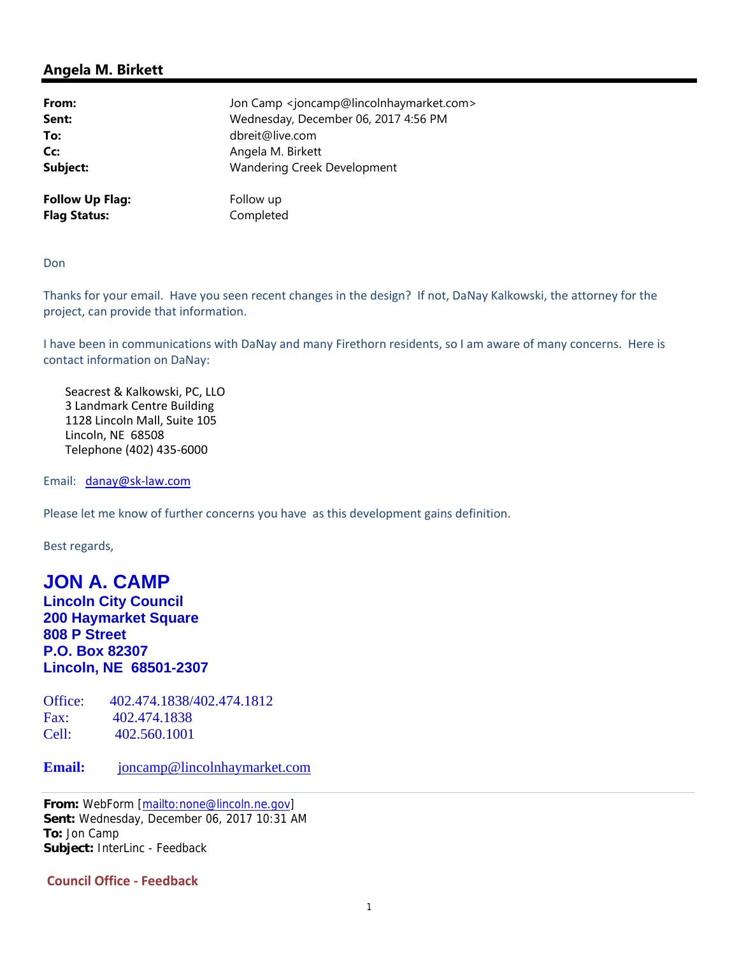| From:                  | Jon Camp <joncamp@lincolnhaymarket.com></joncamp@lincolnhaymarket.com> |
|------------------------|------------------------------------------------------------------------|
| Sent:                  | Wednesday, December 06, 2017 4:56 PM                                   |
| To:                    | dbreit@live.com                                                        |
| Cc:                    | Angela M. Birkett                                                      |
| Subject:               | Wandering Creek Development                                            |
| <b>Follow Up Flag:</b> | Follow up                                                              |
| <b>Flag Status:</b>    | Completed                                                              |

Don

Thanks for your email. Have you seen recent changes in the design? If not, DaNay Kalkowski, the attorney for the project, can provide that information.

I have been in communications with DaNay and many Firethorn residents, so I am aware of many concerns. Here is contact information on DaNay:

Seacrest & Kalkowski, PC, LLO 3 Landmark Centre Building 1128 Lincoln Mall, Suite 105 Lincoln, NE 68508 Telephone (402) 435-6000

Email: danay@sk-law.com

Please let me know of further concerns you have as this development gains definition.

Best regards,

# **JON A. CAMP**

**Lincoln City Council 200 Haymarket Square 808 P Street P.O. Box 82307 Lincoln, NE 68501-2307** 

Office: 402.474.1838/402.474.1812 Fax: 402.474.1838 Cell: 402.560.1001

**Email:** joncamp@lincolnhaymarket.com

**From:** WebForm [mailto:none@lincoln.ne.gov] **Sent:** Wednesday, December 06, 2017 10:31 AM **To:** Jon Camp **Subject:** InterLinc - Feedback

**Council Office - Feedback**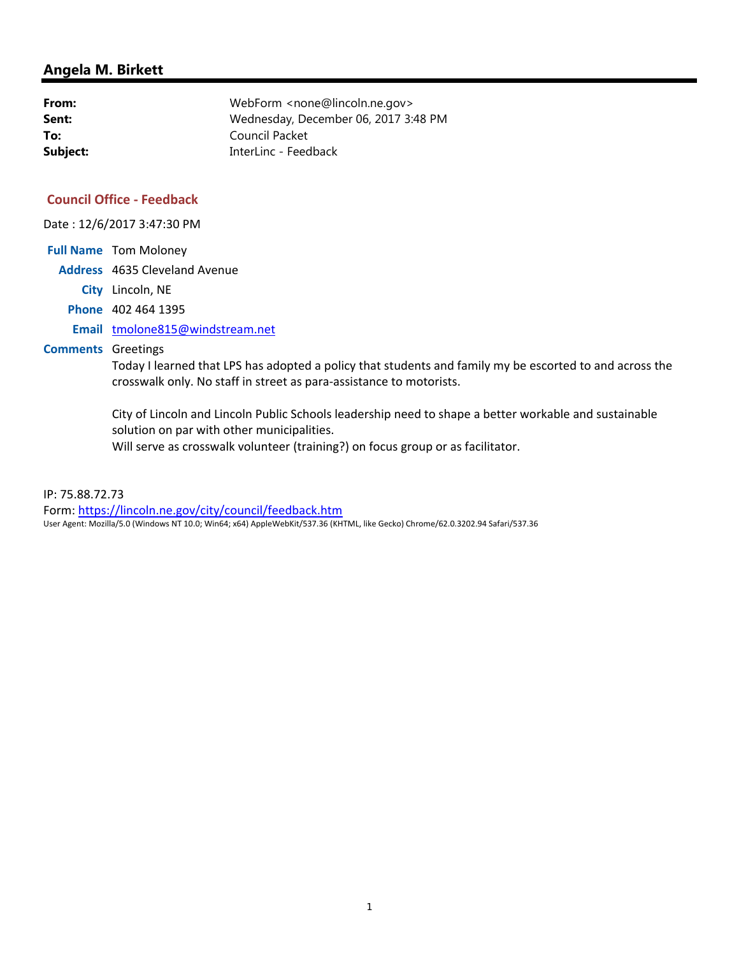| From:    | WebForm <none@lincoln.ne.gov></none@lincoln.ne.gov> |
|----------|-----------------------------------------------------|
| Sent:    | Wednesday, December 06, 2017 3:48 PM                |
| To:      | Council Packet                                      |
| Subject: | InterLinc - Feedback                                |

#### **Council Office - Feedback**

Date : 12/6/2017 3:47:30 PM

**Full Name** Tom Moloney **Address** 4635 Cleveland Avenue **City** Lincoln, NE **Phone** 402 464 1395 **Email** tmolone815@windstream.net **Comments** Greetings

> Today I learned that LPS has adopted a policy that students and family my be escorted to and across the crosswalk only. No staff in street as para-assistance to motorists.

City of Lincoln and Lincoln Public Schools leadership need to shape a better workable and sustainable solution on par with other municipalities. Will serve as crosswalk volunteer (training?) on focus group or as facilitator.

IP: 75.88.72.73

Form: https://lincoln.ne.gov/city/council/feedback.htm User Agent: Mozilla/5.0 (Windows NT 10.0; Win64; x64) AppleWebKit/537.36 (KHTML, like Gecko) Chrome/62.0.3202.94 Safari/537.36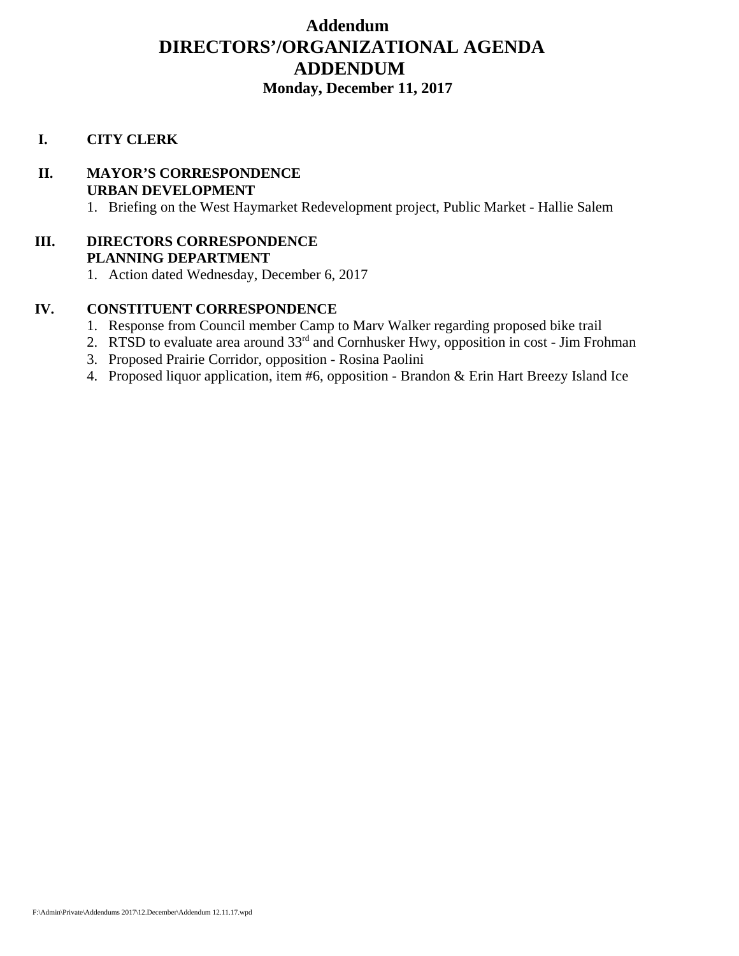# **Addendum DIRECTORS'/ORGANIZATIONAL AGENDA ADDENDUM Monday, December 11, 2017**

#### **I. CITY CLERK**

# **II. MAYOR'S CORRESPONDENCE URBAN DEVELOPMENT**

1. Briefing on the West Haymarket Redevelopment project, Public Market - Hallie Salem

#### **III. DIRECTORS CORRESPONDENCE PLANNING DEPARTMENT**

1. Action dated Wednesday, December 6, 2017

#### **IV. CONSTITUENT CORRESPONDENCE**

- 1. Response from Council member Camp to Marv Walker regarding proposed bike trail
- 2. RTSD to evaluate area around  $33<sup>rd</sup>$  and Cornhusker Hwy, opposition in cost Jim Frohman
- 3. Proposed Prairie Corridor, opposition Rosina Paolini
- 4. Proposed liquor application, item #6, opposition Brandon & Erin Hart Breezy Island Ice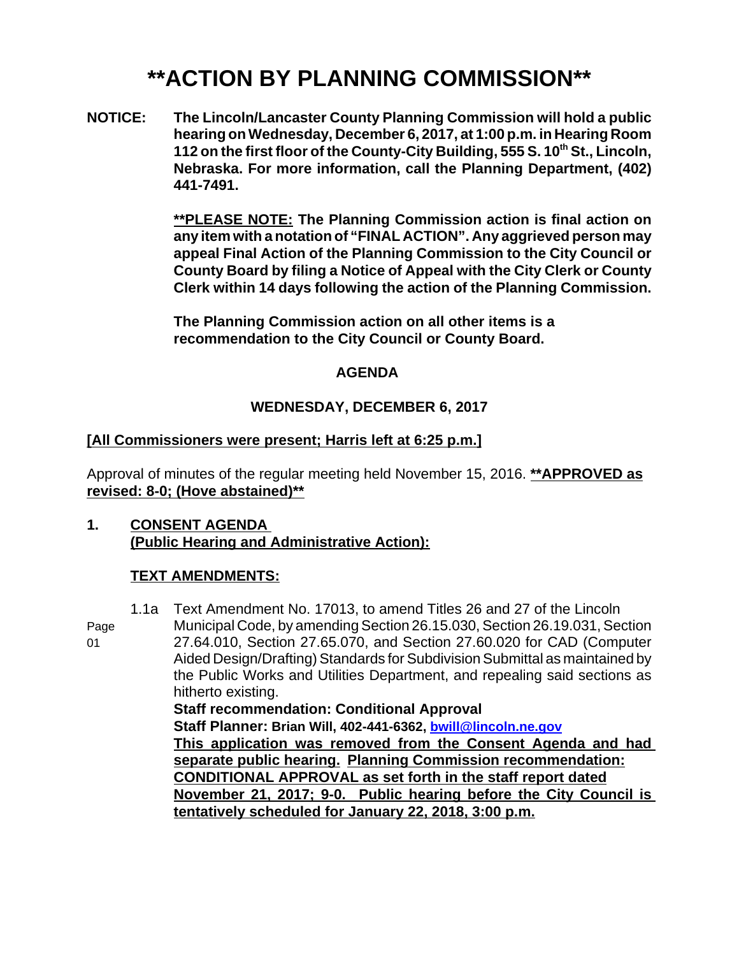# **\*\*ACTION BY PLANNING COMMISSION\*\***

**NOTICE: The Lincoln/Lancaster County Planning Commission will hold a public hearing on Wednesday, December 6, 2017, at 1:00 p.m. in Hearing Room 112 on the first floor of the County-City Building, 555 S. 10<sup>th</sup> St., Lincoln, Nebraska. For more information, call the Planning Department, (402) 441-7491.**

> **\*\*PLEASE NOTE: The Planning Commission action is final action on any item with a notation of "FINAL ACTION". Any aggrieved person may appeal Final Action of the Planning Commission to the City Council or County Board by filing a Notice of Appeal with the City Clerk or County Clerk within 14 days following the action of the Planning Commission.**

**The Planning Commission action on all other items is a recommendation to the City Council or County Board.** 

#### **AGENDA**

# **WEDNESDAY, DECEMBER 6, 2017**

## **[All Commissioners were present; Harris left at 6:25 p.m.]**

Approval of minutes of the regular meeting held November 15, 2016. **\*\*APPROVED as revised: 8-0; (Hove abstained)\*\***

#### **1. CONSENT AGENDA (Public Hearing and Administrative Action):**

# **TEXT AMENDMENTS:**

1.1a Text Amendment No. 17013, to amend Titles 26 and 27 of the Lincoln Page Municipal Code, by amending Section 26.15.030, Section 26.19.031, Section 01 27.64.010, Section 27.65.070, and Section 27.60.020 for CAD (Computer Aided Design/Drafting) Standards for Subdivision Submittal as maintained by the Public Works and Utilities Department, and repealing said sections as hitherto existing. **Staff recommendation: Conditional Approval Staff Planner: Brian Will, 402-441-6362, bwill@lincoln.ne.gov This application was removed from the Consent Agenda and had separate public hearing. Planning Commission recommendation: CONDITIONAL APPROVAL as set forth in the staff report dated November 21, 2017; 9-0. Public hearing before the City Council is tentatively scheduled for January 22, 2018, 3:00 p.m.**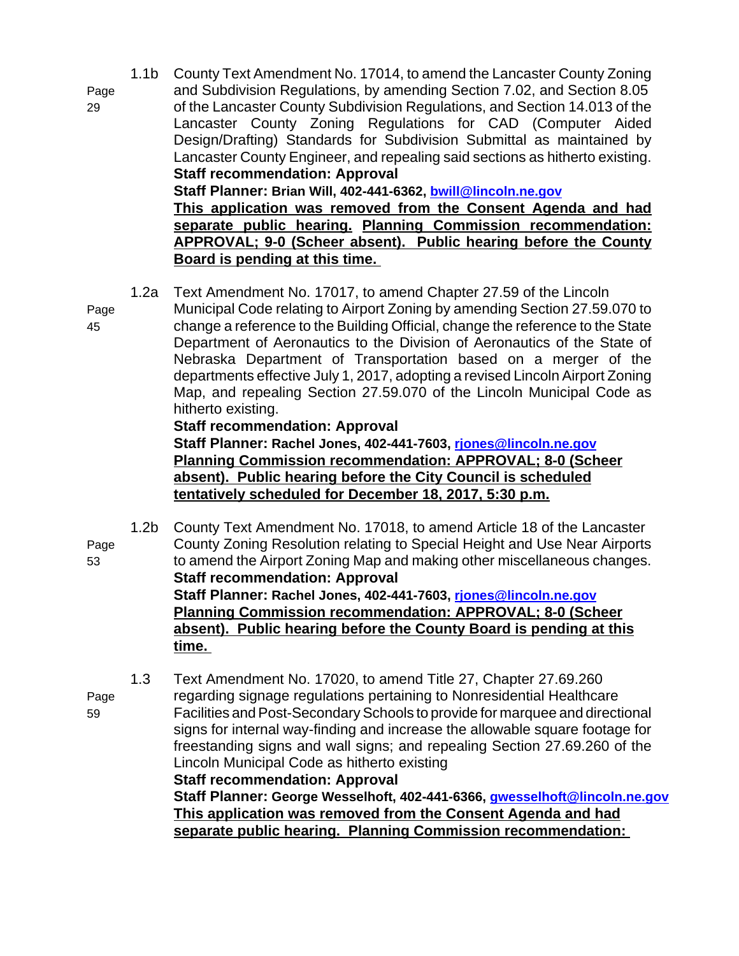- 1.1b County Text Amendment No. 17014, to amend the Lancaster County Zoning Page and Subdivision Regulations, by amending Section 7.02, and Section 8.05 29 of the Lancaster County Subdivision Regulations, and Section 14.013 of the Lancaster County Zoning Regulations for CAD (Computer Aided Design/Drafting) Standards for Subdivision Submittal as maintained by Lancaster County Engineer, and repealing said sections as hitherto existing. **Staff recommendation: Approval Staff Planner: Brian Will, 402-441-6362, bwill@lincoln.ne.gov This application was removed from the Consent Agenda and had separate public hearing. Planning Commission recommendation: APPROVAL; 9-0 (Scheer absent). Public hearing before the County Board is pending at this time.** 
	- 1.2a Text Amendment No. 17017, to amend Chapter 27.59 of the Lincoln
- Page Municipal Code relating to Airport Zoning by amending Section 27.59.070 to 45 change a reference to the Building Official, change the reference to the State Department of Aeronautics to the Division of Aeronautics of the State of Nebraska Department of Transportation based on a merger of the departments effective July 1, 2017, adopting a revised Lincoln Airport Zoning Map, and repealing Section 27.59.070 of the Lincoln Municipal Code as hitherto existing.

#### **Staff recommendation: Approval**

**Staff Planner: Rachel Jones, 402-441-7603, rjones@lincoln.ne.gov Planning Commission recommendation: APPROVAL; 8-0 (Scheer absent). Public hearing before the City Council is scheduled tentatively scheduled for December 18, 2017, 5:30 p.m.**

1.2b County Text Amendment No. 17018, to amend Article 18 of the Lancaster Page County Zoning Resolution relating to Special Height and Use Near Airports 53 to amend the Airport Zoning Map and making other miscellaneous changes. **Staff recommendation: Approval Staff Planner: Rachel Jones, 402-441-7603, rjones@lincoln.ne.gov Planning Commission recommendation: APPROVAL; 8-0 (Scheer absent). Public hearing before the County Board is pending at this time.** 

1.3 Text Amendment No. 17020, to amend Title 27, Chapter 27.69.260 Page regarding signage regulations pertaining to Nonresidential Healthcare 59 Facilities and Post-Secondary Schools to provide for marquee and directional signs for internal way-finding and increase the allowable square footage for freestanding signs and wall signs; and repealing Section 27.69.260 of the Lincoln Municipal Code as hitherto existing

**Staff recommendation: Approval Staff Planner: George Wesselhoft, 402-441-6366, gwesselhoft@lincoln.ne.gov This application was removed from the Consent Agenda and had separate public hearing. Planning Commission recommendation:**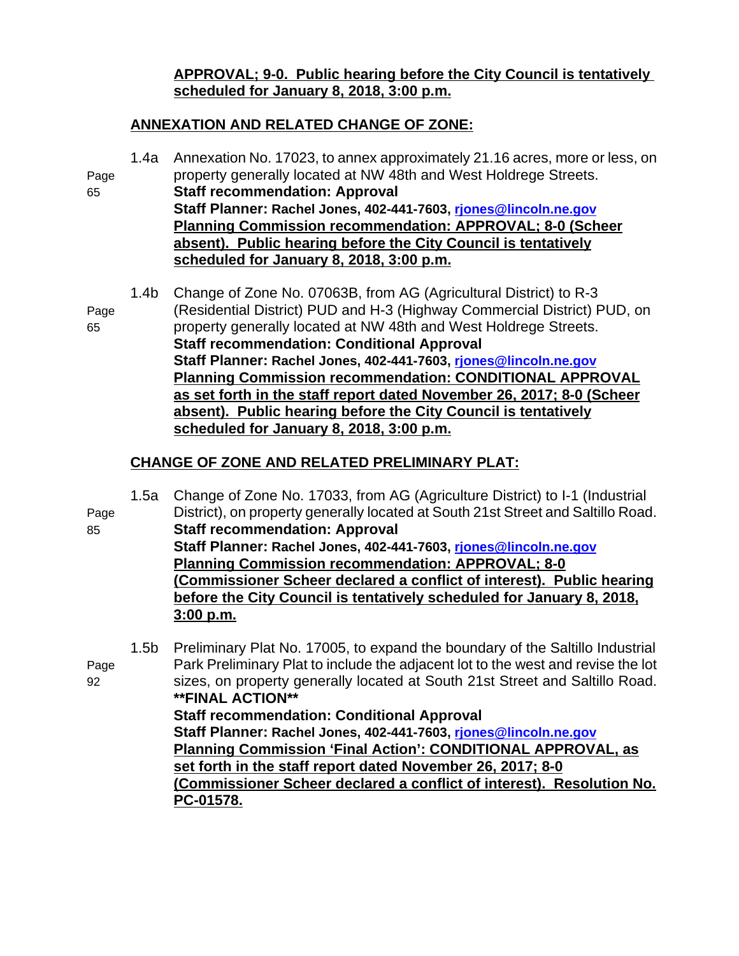## **APPROVAL; 9-0. Public hearing before the City Council is tentatively scheduled for January 8, 2018, 3:00 p.m.**

# **ANNEXATION AND RELATED CHANGE OF ZONE:**

1.4a Annexation No. 17023, to annex approximately 21.16 acres, more or less, on Page property generally located at NW 48th and West Holdrege Streets. 65 **Staff recommendation: Approval Staff Planner: Rachel Jones, 402-441-7603, rjones@lincoln.ne.gov Planning Commission recommendation: APPROVAL; 8-0 (Scheer absent). Public hearing before the City Council is tentatively scheduled for January 8, 2018, 3:00 p.m.** 1.4b Change of Zone No. 07063B, from AG (Agricultural District) to R-3 Page (Residential District) PUD and H-3 (Highway Commercial District) PUD, on 65 property generally located at NW 48th and West Holdrege Streets. **Staff recommendation: Conditional Approval Staff Planner: Rachel Jones, 402-441-7603, rjones@lincoln.ne.gov Planning Commission recommendation: CONDITIONAL APPROVAL as set forth in the staff report dated November 26, 2017; 8-0 (Scheer absent). Public hearing before the City Council is tentatively scheduled for January 8, 2018, 3:00 p.m.**

# **CHANGE OF ZONE AND RELATED PRELIMINARY PLAT:**

| Page<br>85 | 1.5a | Change of Zone No. 17033, from AG (Agriculture District) to I-1 (Industrial<br>District), on property generally located at South 21st Street and Saltillo Road.<br><b>Staff recommendation: Approval</b><br>Staff Planner: Rachel Jones, 402-441-7603, rjones@lincoln.ne.gov<br><b>Planning Commission recommendation: APPROVAL; 8-0</b><br>(Commissioner Scheer declared a conflict of interest). Public hearing<br>before the City Council is tentatively scheduled for January 8, 2018,<br>3:00 p.m.                                                                                                                   |
|------------|------|---------------------------------------------------------------------------------------------------------------------------------------------------------------------------------------------------------------------------------------------------------------------------------------------------------------------------------------------------------------------------------------------------------------------------------------------------------------------------------------------------------------------------------------------------------------------------------------------------------------------------|
| Page<br>92 | 1.5b | Preliminary Plat No. 17005, to expand the boundary of the Saltillo Industrial<br>Park Preliminary Plat to include the adjacent lot to the west and revise the lot<br>sizes, on property generally located at South 21st Street and Saltillo Road.<br><b>**FINAL ACTION**</b><br><b>Staff recommendation: Conditional Approval</b><br>Staff Planner: Rachel Jones, 402-441-7603, riones@lincoln.ne.gov<br>Planning Commission 'Final Action': CONDITIONAL APPROVAL, as<br>set forth in the staff report dated November 26, 2017; 8-0<br>(Commissioner Scheer declared a conflict of interest). Resolution No.<br>PC-01578. |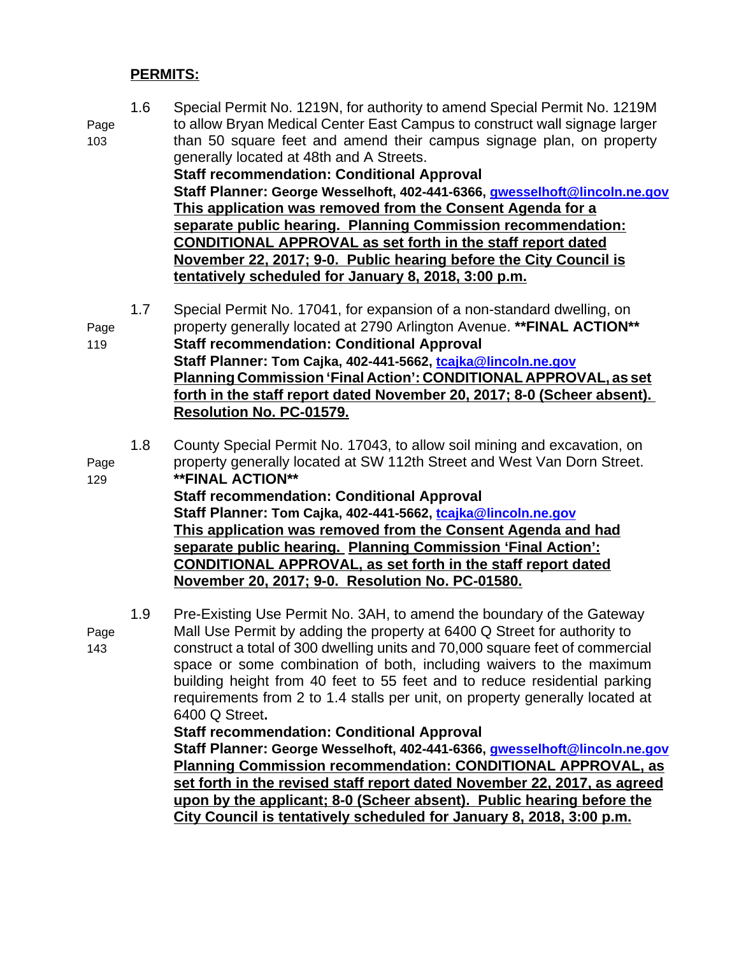#### **PERMITS:**

1.6 Special Permit No. 1219N, for authority to amend Special Permit No. 1219M Page to allow Bryan Medical Center East Campus to construct wall signage larger 103 than 50 square feet and amend their campus signage plan, on property generally located at 48th and A Streets. **Staff recommendation: Conditional Approval Staff Planner: George Wesselhoft, 402-441-6366, gwesselhoft@lincoln.ne.gov This application was removed from the Consent Agenda for a separate public hearing. Planning Commission recommendation: CONDITIONAL APPROVAL as set forth in the staff report dated November 22, 2017; 9-0. Public hearing before the City Council is tentatively scheduled for January 8, 2018, 3:00 p.m.** 1.7 Special Permit No. 17041, for expansion of a non-standard dwelling, on

Page property generally located at 2790 Arlington Avenue. **\*\*FINAL ACTION\*\*** 119 **Staff recommendation: Conditional Approval Staff Planner: Tom Cajka, 402-441-5662, tcajka@lincoln.ne.gov Planning Commission 'Final Action': CONDITIONAL APPROVAL, as set forth in the staff report dated November 20, 2017; 8-0 (Scheer absent). Resolution No. PC-01579.**

1.8 County Special Permit No. 17043, to allow soil mining and excavation, on Page property generally located at SW 112th Street and West Van Dorn Street. 129 **\*\*FINAL ACTION\*\* Staff recommendation: Conditional Approval Staff Planner: Tom Cajka, 402-441-5662, tcajka@lincoln.ne.gov This application was removed from the Consent Agenda and had separate public hearing. Planning Commission 'Final Action': CONDITIONAL APPROVAL, as set forth in the staff report dated November 20, 2017; 9-0. Resolution No. PC-01580.**

1.9 Pre-Existing Use Permit No. 3AH, to amend the boundary of the Gateway Page Mall Use Permit by adding the property at 6400 Q Street for authority to 143 construct a total of 300 dwelling units and 70,000 square feet of commercial space or some combination of both, including waivers to the maximum building height from 40 feet to 55 feet and to reduce residential parking requirements from 2 to 1.4 stalls per unit, on property generally located at 6400 Q Street**.**

#### **Staff recommendation: Conditional Approval**

**Staff Planner: George Wesselhoft, 402-441-6366, gwesselhoft@lincoln.ne.gov Planning Commission recommendation: CONDITIONAL APPROVAL, as set forth in the revised staff report dated November 22, 2017, as agreed upon by the applicant; 8-0 (Scheer absent). Public hearing before the City Council is tentatively scheduled for January 8, 2018, 3:00 p.m.**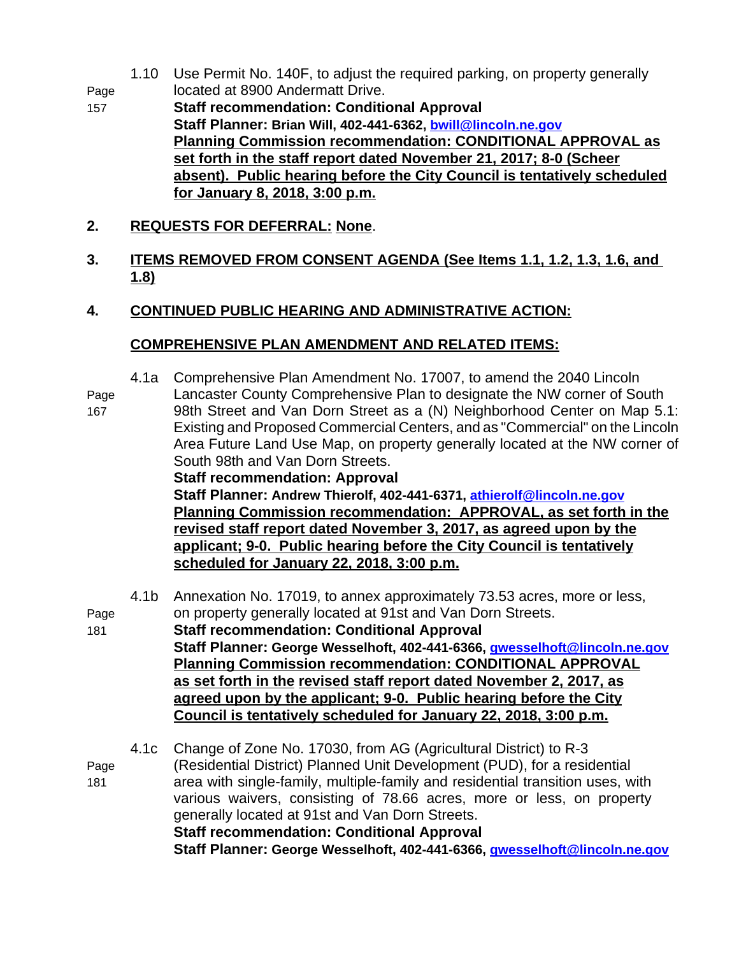- 1.10 Use Permit No. 140F, to adjust the required parking, on property generally Page located at 8900 Andermatt Drive.
- 157 **Staff recommendation: Conditional Approval Staff Planner: Brian Will, 402-441-6362, bwill@lincoln.ne.gov Planning Commission recommendation: CONDITIONAL APPROVAL as set forth in the staff report dated November 21, 2017; 8-0 (Scheer absent). Public hearing before the City Council is tentatively scheduled for January 8, 2018, 3:00 p.m.**
- **2. REQUESTS FOR DEFERRAL: None**.
- **3. ITEMS REMOVED FROM CONSENT AGENDA (See Items 1.1, 1.2, 1.3, 1.6, and 1.8)**
- **4. CONTINUED PUBLIC HEARING AND ADMINISTRATIVE ACTION:**

#### **COMPREHENSIVE PLAN AMENDMENT AND RELATED ITEMS:**

4.1a Comprehensive Plan Amendment No. 17007, to amend the 2040 Lincoln

Page Lancaster County Comprehensive Plan to designate the NW corner of South

167 98th Street and Van Dorn Street as a (N) Neighborhood Center on Map 5.1: Existing and Proposed Commercial Centers, and as "Commercial" on the Lincoln Area Future Land Use Map, on property generally located at the NW corner of South 98th and Van Dorn Streets. **Staff recommendation: Approval**

**Staff Planner: Andrew Thierolf, 402-441-6371, athierolf@lincoln.ne.gov Planning Commission recommendation: APPROVAL, as set forth in the revised staff report dated November 3, 2017, as agreed upon by the applicant; 9-0. Public hearing before the City Council is tentatively scheduled for January 22, 2018, 3:00 p.m.**

- 4.1b Annexation No. 17019, to annex approximately 73.53 acres, more or less, Page on property generally located at 91st and Van Dorn Streets.
- 181 **Staff recommendation: Conditional Approval Staff Planner: George Wesselhoft, 402-441-6366, gwesselhoft@lincoln.ne.gov Planning Commission recommendation: CONDITIONAL APPROVAL as set forth in the revised staff report dated November 2, 2017, as agreed upon by the applicant; 9-0. Public hearing before the City Council is tentatively scheduled for January 22, 2018, 3:00 p.m.**

4.1c Change of Zone No. 17030, from AG (Agricultural District) to R-3 Page (Residential District) Planned Unit Development (PUD), for a residential 181 area with single-family, multiple-family and residential transition uses, with various waivers, consisting of 78.66 acres, more or less, on property generally located at 91st and Van Dorn Streets. **Staff recommendation: Conditional Approval Staff Planner: George Wesselhoft, 402-441-6366, gwesselhoft@lincoln.ne.gov**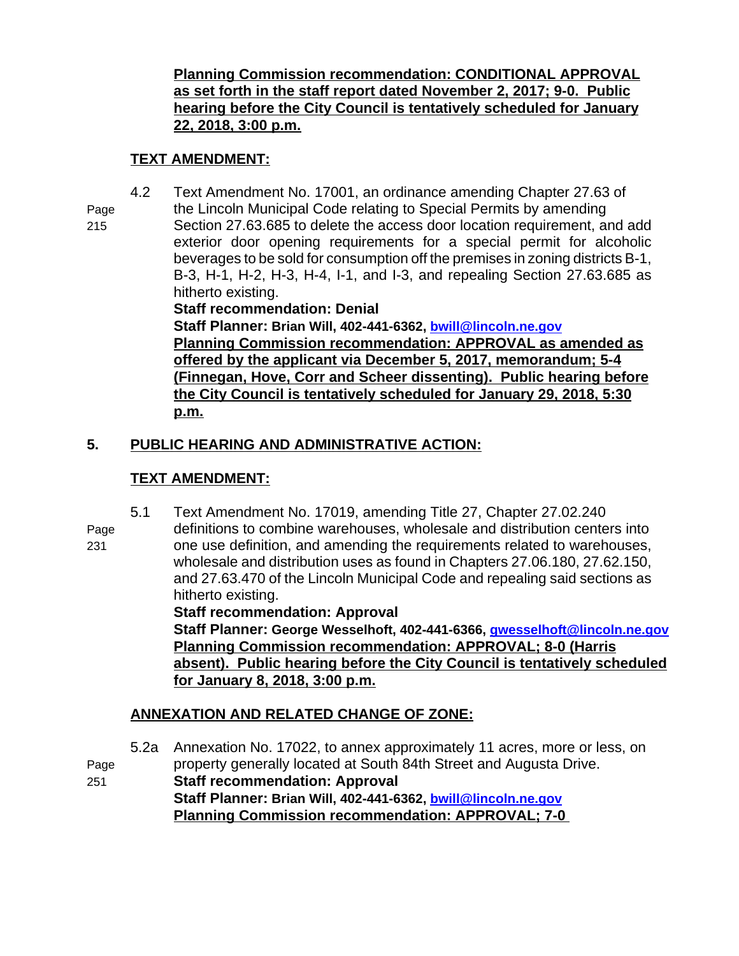**Planning Commission recommendation: CONDITIONAL APPROVAL as set forth in the staff report dated November 2, 2017; 9-0. Public hearing before the City Council is tentatively scheduled for January 22, 2018, 3:00 p.m.**

# **TEXT AMENDMENT:**

- 4.2 Text Amendment No. 17001, an ordinance amending Chapter 27.63 of
- Page the Lincoln Municipal Code relating to Special Permits by amending

215 Section 27.63.685 to delete the access door location requirement, and add exterior door opening requirements for a special permit for alcoholic beverages to be sold for consumption off the premises in zoning districts B-1, B-3, H-1, H-2, H-3, H-4, I-1, and I-3, and repealing Section 27.63.685 as hitherto existing.

## **Staff recommendation: Denial**

**Staff Planner: Brian Will, 402-441-6362, bwill@lincoln.ne.gov Planning Commission recommendation: APPROVAL as amended as offered by the applicant via December 5, 2017, memorandum; 5-4 (Finnegan, Hove, Corr and Scheer dissenting). Public hearing before the City Council is tentatively scheduled for January 29, 2018, 5:30 p.m.**

# **5. PUBLIC HEARING AND ADMINISTRATIVE ACTION:**

# **TEXT AMENDMENT:**

- 5.1 Text Amendment No. 17019, amending Title 27, Chapter 27.02.240
- Page definitions to combine warehouses, wholesale and distribution centers into 231 one use definition, and amending the requirements related to warehouses, wholesale and distribution uses as found in Chapters 27.06.180, 27.62.150, and 27.63.470 of the Lincoln Municipal Code and repealing said sections as hitherto existing.

**Staff recommendation: Approval**

**Staff Planner: George Wesselhoft, 402-441-6366, gwesselhoft@lincoln.ne.gov Planning Commission recommendation: APPROVAL; 8-0 (Harris absent). Public hearing before the City Council is tentatively scheduled for January 8, 2018, 3:00 p.m.**

# **ANNEXATION AND RELATED CHANGE OF ZONE:**

5.2a Annexation No. 17022, to annex approximately 11 acres, more or less, on Page property generally located at South 84th Street and Augusta Drive. 251 **Staff recommendation: Approval Staff Planner: Brian Will, 402-441-6362, bwill@lincoln.ne.gov Planning Commission recommendation: APPROVAL; 7-0**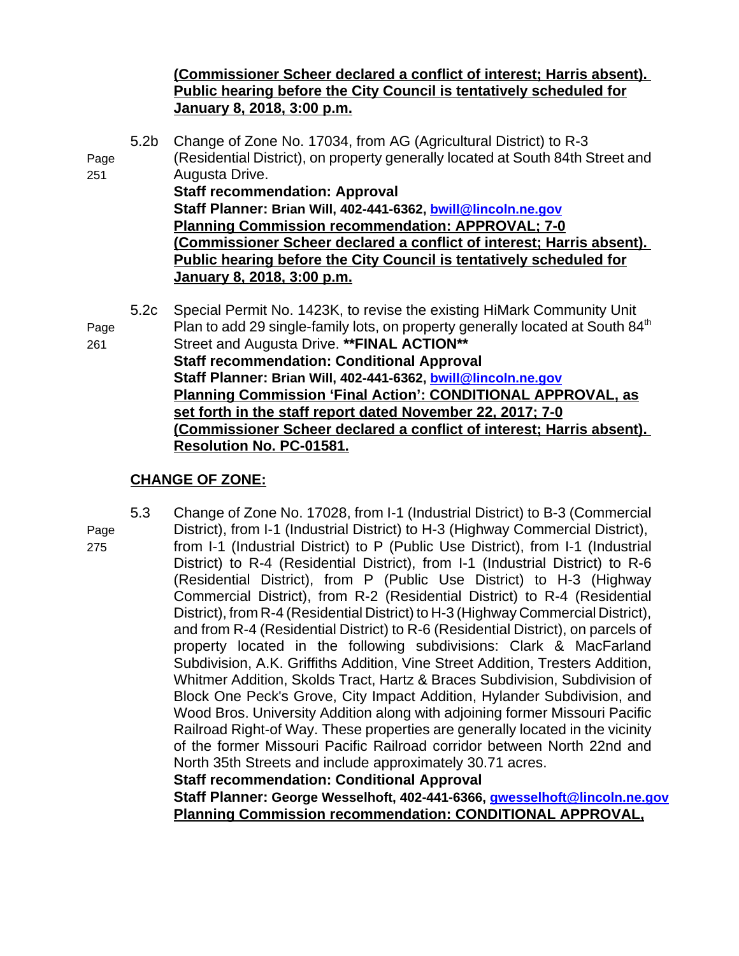### **(Commissioner Scheer declared a conflict of interest; Harris absent). Public hearing before the City Council is tentatively scheduled for January 8, 2018, 3:00 p.m.**

5.2b Change of Zone No. 17034, from AG (Agricultural District) to R-3 Page (Residential District), on property generally located at South 84th Street and 251 Augusta Drive. **Staff recommendation: Approval Staff Planner: Brian Will, 402-441-6362, bwill@lincoln.ne.gov Planning Commission recommendation: APPROVAL; 7-0 (Commissioner Scheer declared a conflict of interest; Harris absent). Public hearing before the City Council is tentatively scheduled for January 8, 2018, 3:00 p.m.** 5.2c Special Permit No. 1423K, to revise the existing HiMark Community Unit Page Plan to add 29 single-family lots, on property generally located at South 84<sup>th</sup> 261 Street and Augusta Drive. **\*\*FINAL ACTION\*\* Staff recommendation: Conditional Approval**

**Staff Planner: Brian Will, 402-441-6362, bwill@lincoln.ne.gov Planning Commission 'Final Action': CONDITIONAL APPROVAL, as set forth in the staff report dated November 22, 2017; 7-0 (Commissioner Scheer declared a conflict of interest; Harris absent). Resolution No. PC-01581.**

#### **CHANGE OF ZONE:**

- 
- 

5.3 Change of Zone No. 17028, from I-1 (Industrial District) to B-3 (Commercial Page District), from I-1 (Industrial District) to H-3 (Highway Commercial District), 275 from I-1 (Industrial District) to P (Public Use District), from I-1 (Industrial District) to R-4 (Residential District), from I-1 (Industrial District) to R-6 (Residential District), from P (Public Use District) to H-3 (Highway Commercial District), from R-2 (Residential District) to R-4 (Residential District), from R-4 (Residential District) to H-3 (Highway Commercial District), and from R-4 (Residential District) to R-6 (Residential District), on parcels of property located in the following subdivisions: Clark & MacFarland Subdivision, A.K. Griffiths Addition, Vine Street Addition, Tresters Addition, Whitmer Addition, Skolds Tract, Hartz & Braces Subdivision, Subdivision of Block One Peck's Grove, City Impact Addition, Hylander Subdivision, and Wood Bros. University Addition along with adjoining former Missouri Pacific Railroad Right-of Way. These properties are generally located in the vicinity of the former Missouri Pacific Railroad corridor between North 22nd and North 35th Streets and include approximately 30.71 acres.

**Staff recommendation: Conditional Approval**

**Staff Planner: George Wesselhoft, 402-441-6366, gwesselhoft@lincoln.ne.gov Planning Commission recommendation: CONDITIONAL APPROVAL,**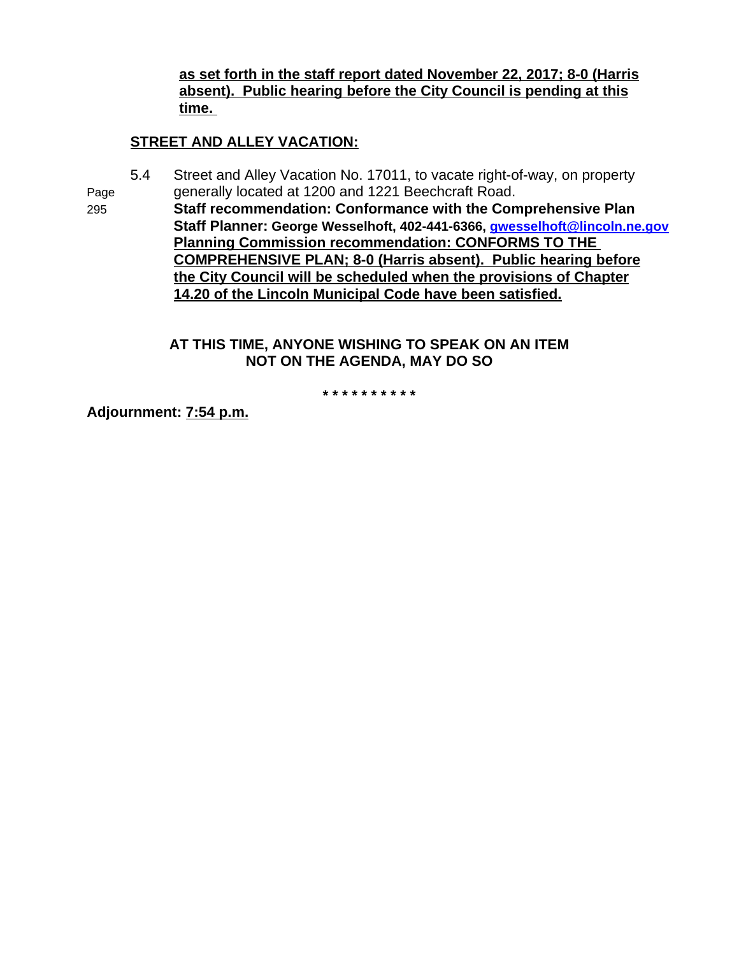**as set forth in the staff report dated November 22, 2017; 8-0 (Harris absent). Public hearing before the City Council is pending at this time.** 

# **STREET AND ALLEY VACATION:**

5.4 Street and Alley Vacation No. 17011, to vacate right-of-way, on property Page generally located at 1200 and 1221 Beechcraft Road.

295 **Staff recommendation: Conformance with the Comprehensive Plan Staff Planner: George Wesselhoft, 402-441-6366, gwesselhoft@lincoln.ne.gov Planning Commission recommendation: CONFORMS TO THE COMPREHENSIVE PLAN; 8-0 (Harris absent). Public hearing before the City Council will be scheduled when the provisions of Chapter 14.20 of the Lincoln Municipal Code have been satisfied.**

#### **AT THIS TIME, ANYONE WISHING TO SPEAK ON AN ITEM NOT ON THE AGENDA, MAY DO SO**

**\* \* \* \* \* \* \* \* \* \***

**Adjournment: 7:54 p.m.**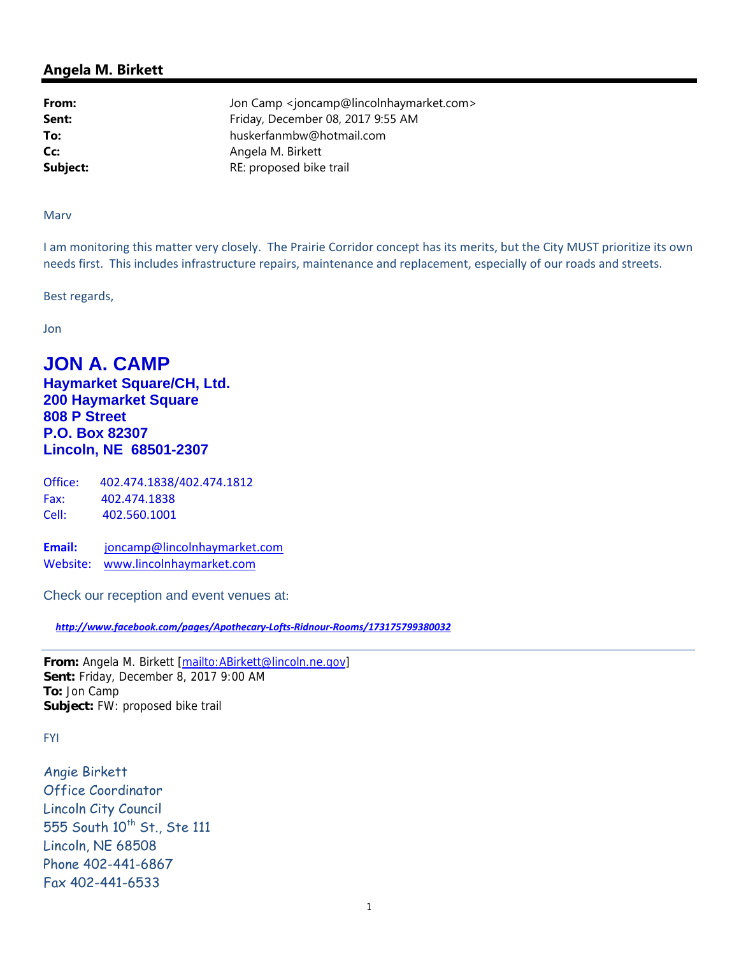**From:** Jon Camp <joncamp@lincolnhaymarket.com> **Sent:** Friday, December 08, 2017 9:55 AM **To:** huskerfanmbw@hotmail.com **Cc:** Angela M. Birkett **Subject:** RE: proposed bike trail

#### Marv

I am monitoring this matter very closely. The Prairie Corridor concept has its merits, but the City MUST prioritize its own needs first. This includes infrastructure repairs, maintenance and replacement, especially of our roads and streets.

Best regards,

Jon

# **JON A. CAMP**

**Haymarket Square/CH, Ltd. 200 Haymarket Square 808 P Street P.O. Box 82307 Lincoln, NE 68501-2307** 

| Office: | 402.474.1838/402.474.1812 |
|---------|---------------------------|
| Fax:    | 402.474.1838              |
| Cell:   | 402.560.1001              |

**Email:** joncamp@lincolnhaymarket.com Website: www.lincolnhaymarket.com

Check our reception and event venues at:

 *http://www.facebook.com/pages/Apothecary-Lofts-Ridnour-Rooms/173175799380032*

**From:** Angela M. Birkett [mailto:ABirkett@lincoln.ne.gov] **Sent:** Friday, December 8, 2017 9:00 AM **To:** Jon Camp **Subject:** FW: proposed bike trail

FYI

Angie Birkett Office Coordinator Lincoln City Council 555 South 10<sup>th</sup> St., Ste 111 Lincoln, NE 68508 Phone 402-441-6867 Fax 402-441-6533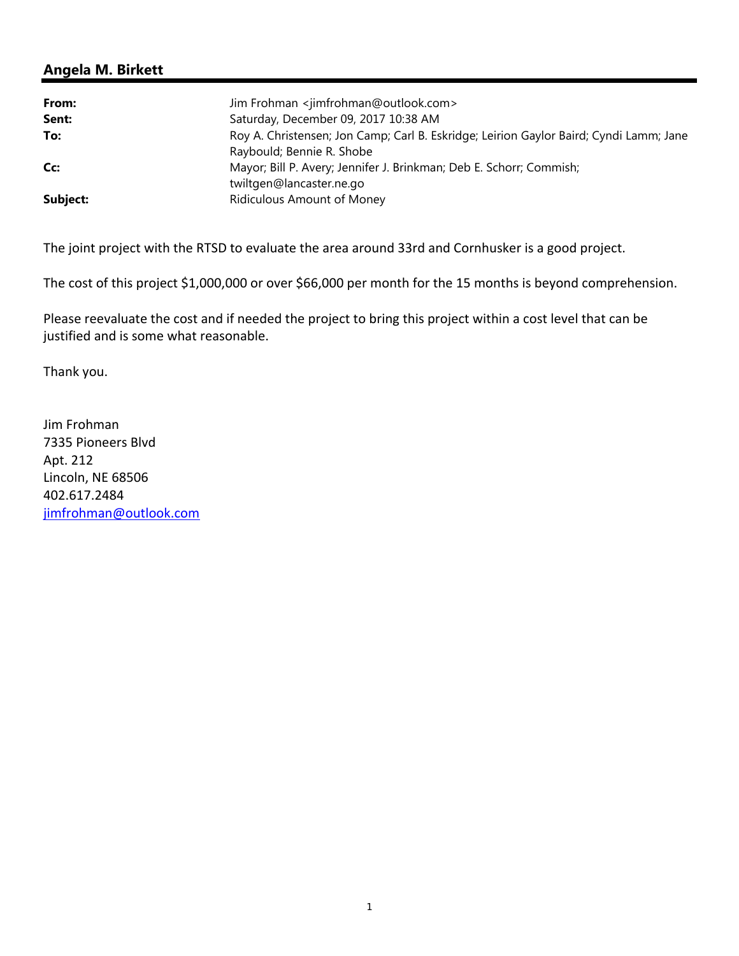| From:    | Jim Frohman <jimfrohman@outlook.com></jimfrohman@outlook.com>                          |
|----------|----------------------------------------------------------------------------------------|
| Sent:    | Saturday, December 09, 2017 10:38 AM                                                   |
| To:      | Roy A. Christensen; Jon Camp; Carl B. Eskridge; Leirion Gaylor Baird; Cyndi Lamm; Jane |
|          | Raybould; Bennie R. Shobe                                                              |
| Cc:      | Mayor; Bill P. Avery; Jennifer J. Brinkman; Deb E. Schorr; Commish;                    |
|          | twiltgen@lancaster.ne.go                                                               |
| Subject: | Ridiculous Amount of Money                                                             |

The joint project with the RTSD to evaluate the area around 33rd and Cornhusker is a good project.

The cost of this project \$1,000,000 or over \$66,000 per month for the 15 months is beyond comprehension.

Please reevaluate the cost and if needed the project to bring this project within a cost level that can be justified and is some what reasonable.

Thank you.

Jim Frohman 7335 Pioneers Blvd Apt. 212 Lincoln, NE 68506 402.617.2484 jimfrohman@outlook.com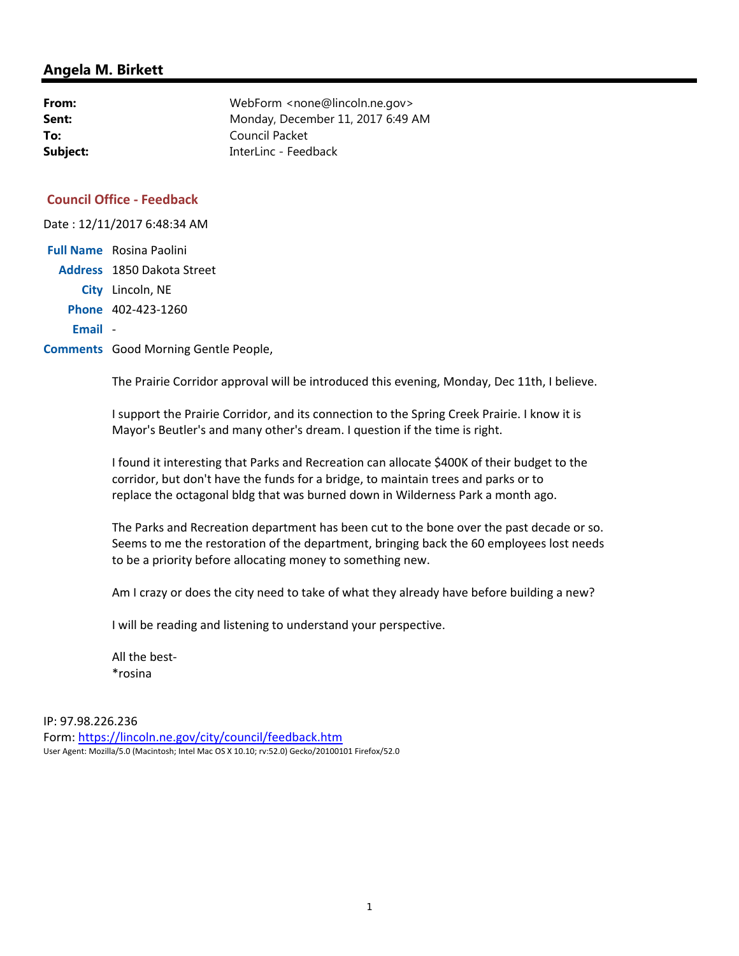| From:    | WebForm <none@lincoln.ne.gov></none@lincoln.ne.gov> |
|----------|-----------------------------------------------------|
| Sent:    | Monday, December 11, 2017 6:49 AM                   |
| To:      | Council Packet                                      |
| Subject: | InterLinc - Feedback                                |

#### **Council Office - Feedback**

Date : 12/11/2017 6:48:34 AM

|         | <b>Full Name</b> Rosina Paolini |
|---------|---------------------------------|
|         | Address 1850 Dakota Street      |
|         | City Lincoln, NE                |
|         | Phone 402-423-1260              |
| Email - |                                 |

**Comments** Good Morning Gentle People,

The Prairie Corridor approval will be introduced this evening, Monday, Dec 11th, I believe.

I support the Prairie Corridor, and its connection to the Spring Creek Prairie. I know it is Mayor's Beutler's and many other's dream. I question if the time is right.

I found it interesting that Parks and Recreation can allocate \$400K of their budget to the corridor, but don't have the funds for a bridge, to maintain trees and parks or to replace the octagonal bldg that was burned down in Wilderness Park a month ago.

The Parks and Recreation department has been cut to the bone over the past decade or so. Seems to me the restoration of the department, bringing back the 60 employees lost needs to be a priority before allocating money to something new.

Am I crazy or does the city need to take of what they already have before building a new?

I will be reading and listening to understand your perspective.

All the best- \*rosina

IP: 97.98.226.236 Form: https://lincoln.ne.gov/city/council/feedback.htm User Agent: Mozilla/5.0 (Macintosh; Intel Mac OS X 10.10; rv:52.0) Gecko/20100101 Firefox/52.0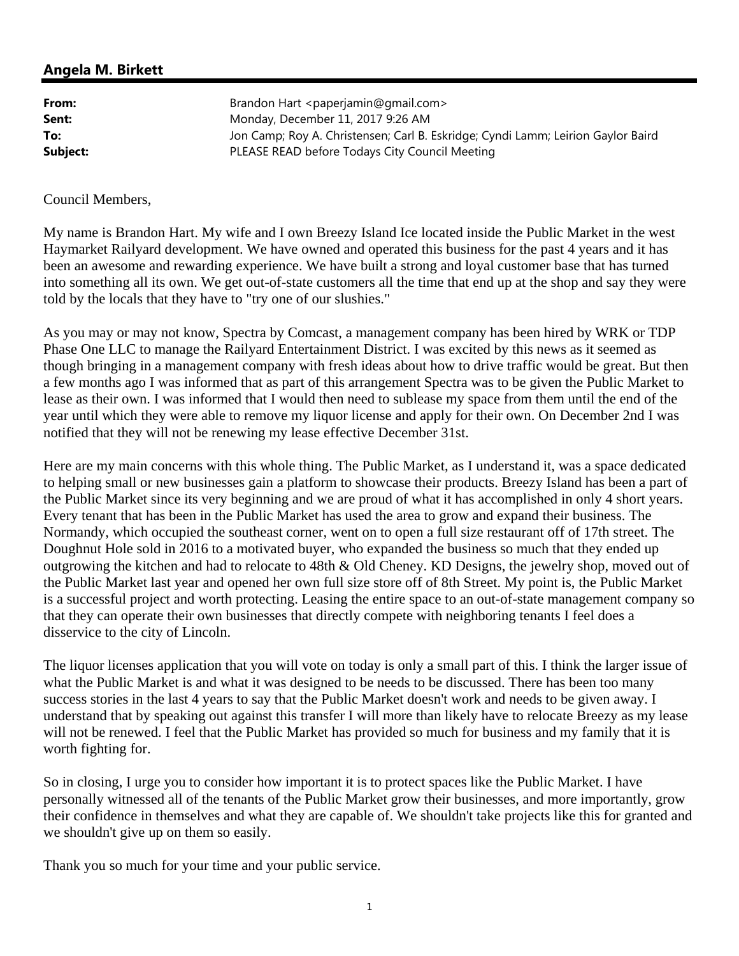| From:    | Brandon Hart <paperjamin@gmail.com></paperjamin@gmail.com>                       |
|----------|----------------------------------------------------------------------------------|
| Sent:    | Monday, December 11, 2017 9:26 AM                                                |
| To:      | Jon Camp; Roy A. Christensen; Carl B. Eskridge; Cyndi Lamm; Leirion Gaylor Baird |
| Subject: | PLEASE READ before Todays City Council Meeting                                   |

#### Council Members,

My name is Brandon Hart. My wife and I own Breezy Island Ice located inside the Public Market in the west Haymarket Railyard development. We have owned and operated this business for the past 4 years and it has been an awesome and rewarding experience. We have built a strong and loyal customer base that has turned into something all its own. We get out-of-state customers all the time that end up at the shop and say they were told by the locals that they have to "try one of our slushies."

As you may or may not know, Spectra by Comcast, a management company has been hired by WRK or TDP Phase One LLC to manage the Railyard Entertainment District. I was excited by this news as it seemed as though bringing in a management company with fresh ideas about how to drive traffic would be great. But then a few months ago I was informed that as part of this arrangement Spectra was to be given the Public Market to lease as their own. I was informed that I would then need to sublease my space from them until the end of the year until which they were able to remove my liquor license and apply for their own. On December 2nd I was notified that they will not be renewing my lease effective December 31st.

Here are my main concerns with this whole thing. The Public Market, as I understand it, was a space dedicated to helping small or new businesses gain a platform to showcase their products. Breezy Island has been a part of the Public Market since its very beginning and we are proud of what it has accomplished in only 4 short years. Every tenant that has been in the Public Market has used the area to grow and expand their business. The Normandy, which occupied the southeast corner, went on to open a full size restaurant off of 17th street. The Doughnut Hole sold in 2016 to a motivated buyer, who expanded the business so much that they ended up outgrowing the kitchen and had to relocate to 48th & Old Cheney. KD Designs, the jewelry shop, moved out of the Public Market last year and opened her own full size store off of 8th Street. My point is, the Public Market is a successful project and worth protecting. Leasing the entire space to an out-of-state management company so that they can operate their own businesses that directly compete with neighboring tenants I feel does a disservice to the city of Lincoln.

The liquor licenses application that you will vote on today is only a small part of this. I think the larger issue of what the Public Market is and what it was designed to be needs to be discussed. There has been too many success stories in the last 4 years to say that the Public Market doesn't work and needs to be given away. I understand that by speaking out against this transfer I will more than likely have to relocate Breezy as my lease will not be renewed. I feel that the Public Market has provided so much for business and my family that it is worth fighting for.

So in closing, I urge you to consider how important it is to protect spaces like the Public Market. I have personally witnessed all of the tenants of the Public Market grow their businesses, and more importantly, grow their confidence in themselves and what they are capable of. We shouldn't take projects like this for granted and we shouldn't give up on them so easily.

Thank you so much for your time and your public service.